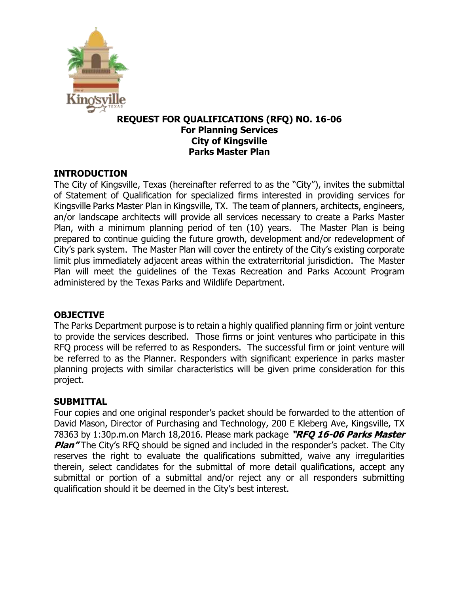

### **REQUEST FOR QUALIFICATIONS (RFQ) NO. 16-06 For Planning Services City of Kingsville Parks Master Plan**

### **INTRODUCTION**

The City of Kingsville, Texas (hereinafter referred to as the "City"), invites the submittal of Statement of Qualification for specialized firms interested in providing services for Kingsville Parks Master Plan in Kingsville, TX. The team of planners, architects, engineers, an/or landscape architects will provide all services necessary to create a Parks Master Plan, with a minimum planning period of ten (10) years. The Master Plan is being prepared to continue guiding the future growth, development and/or redevelopment of City's park system. The Master Plan will cover the entirety of the City's existing corporate limit plus immediately adjacent areas within the extraterritorial jurisdiction. The Master Plan will meet the guidelines of the Texas Recreation and Parks Account Program administered by the Texas Parks and Wildlife Department.

### **OBJECTIVE**

The Parks Department purpose is to retain a highly qualified planning firm or joint venture to provide the services described. Those firms or joint ventures who participate in this RFQ process will be referred to as Responders. The successful firm or joint venture will be referred to as the Planner. Responders with significant experience in parks master planning projects with similar characteristics will be given prime consideration for this project.

#### **SUBMITTAL**

Four copies and one original responder's packet should be forwarded to the attention of David Mason, Director of Purchasing and Technology, 200 E Kleberg Ave, Kingsville, TX 78363 by 1:30p.m.on March 18,2016. Please mark package **"RFQ 16-06 Parks Master Plan<sup>"</sup>** The City's RFQ should be signed and included in the responder's packet. The City reserves the right to evaluate the qualifications submitted, waive any irregularities therein, select candidates for the submittal of more detail qualifications, accept any submittal or portion of a submittal and/or reject any or all responders submitting qualification should it be deemed in the City's best interest.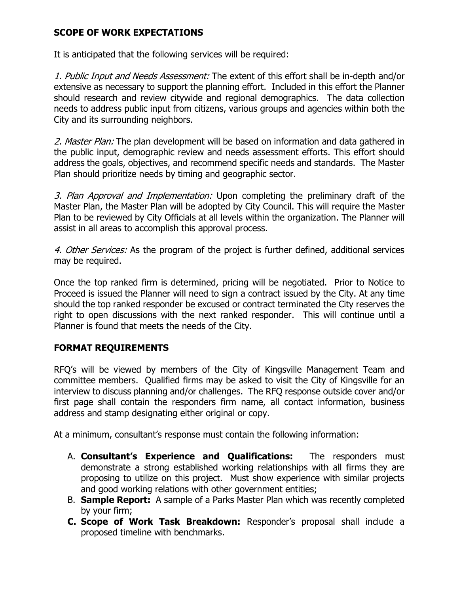### **SCOPE OF WORK EXPECTATIONS**

It is anticipated that the following services will be required:

1. Public Input and Needs Assessment: The extent of this effort shall be in-depth and/or extensive as necessary to support the planning effort. Included in this effort the Planner should research and review citywide and regional demographics. The data collection needs to address public input from citizens, various groups and agencies within both the City and its surrounding neighbors.

2. Master Plan: The plan development will be based on information and data gathered in the public input, demographic review and needs assessment efforts. This effort should address the goals, objectives, and recommend specific needs and standards. The Master Plan should prioritize needs by timing and geographic sector.

3. Plan Approval and Implementation: Upon completing the preliminary draft of the Master Plan, the Master Plan will be adopted by City Council. This will require the Master Plan to be reviewed by City Officials at all levels within the organization. The Planner will assist in all areas to accomplish this approval process.

4. Other Services: As the program of the project is further defined, additional services may be required.

Once the top ranked firm is determined, pricing will be negotiated. Prior to Notice to Proceed is issued the Planner will need to sign a contract issued by the City. At any time should the top ranked responder be excused or contract terminated the City reserves the right to open discussions with the next ranked responder. This will continue until a Planner is found that meets the needs of the City.

### **FORMAT REQUIREMENTS**

RFQ's will be viewed by members of the City of Kingsville Management Team and committee members. Qualified firms may be asked to visit the City of Kingsville for an interview to discuss planning and/or challenges. The RFQ response outside cover and/or first page shall contain the responders firm name, all contact information, business address and stamp designating either original or copy.

At a minimum, consultant's response must contain the following information:

- A. **Consultant's Experience and Qualifications:** The responders must demonstrate a strong established working relationships with all firms they are proposing to utilize on this project. Must show experience with similar projects and good working relations with other government entities;
- B. **Sample Report:** A sample of a Parks Master Plan which was recently completed by your firm;
- **C. Scope of Work Task Breakdown:** Responder's proposal shall include a proposed timeline with benchmarks.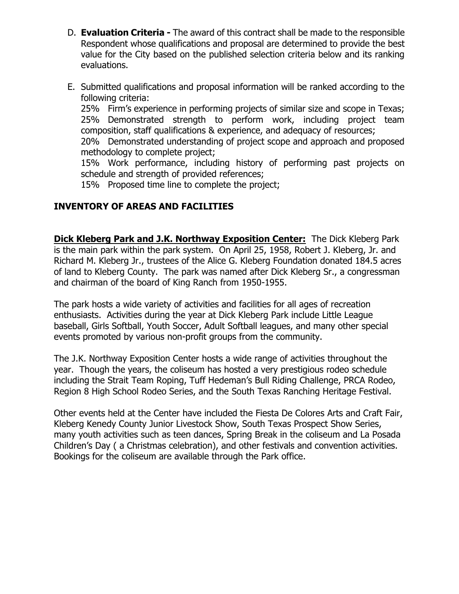- D. **Evaluation Criteria -** The award of this contract shall be made to the responsible Respondent whose qualifications and proposal are determined to provide the best value for the City based on the published selection criteria below and its ranking evaluations.
- E. Submitted qualifications and proposal information will be ranked according to the following criteria:

25% Firm's experience in performing projects of similar size and scope in Texas; 25% Demonstrated strength to perform work, including project team composition, staff qualifications & experience, and adequacy of resources;

20% Demonstrated understanding of project scope and approach and proposed methodology to complete project;

15% Work performance, including history of performing past projects on schedule and strength of provided references;

15% Proposed time line to complete the project;

## **INVENTORY OF AREAS AND FACILITIES**

**Dick Kleberg Park and J.K. Northway Exposition Center:** The Dick Kleberg Park is the main park within the park system. On April 25, 1958, Robert J. Kleberg, Jr. and Richard M. Kleberg Jr., trustees of the Alice G. Kleberg Foundation donated 184.5 acres of land to Kleberg County. The park was named after Dick Kleberg Sr., a congressman and chairman of the board of King Ranch from 1950-1955.

The park hosts a wide variety of activities and facilities for all ages of recreation enthusiasts. Activities during the year at Dick Kleberg Park include Little League baseball, Girls Softball, Youth Soccer, Adult Softball leagues, and many other special events promoted by various non-profit groups from the community.

The J.K. Northway Exposition Center hosts a wide range of activities throughout the year. Though the years, the coliseum has hosted a very prestigious rodeo schedule including the Strait Team Roping, Tuff Hedeman's Bull Riding Challenge, PRCA Rodeo, Region 8 High School Rodeo Series, and the South Texas Ranching Heritage Festival.

Other events held at the Center have included the Fiesta De Colores Arts and Craft Fair, Kleberg Kenedy County Junior Livestock Show, South Texas Prospect Show Series, many youth activities such as teen dances, Spring Break in the coliseum and La Posada Children's Day ( a Christmas celebration), and other festivals and convention activities. Bookings for the coliseum are available through the Park office.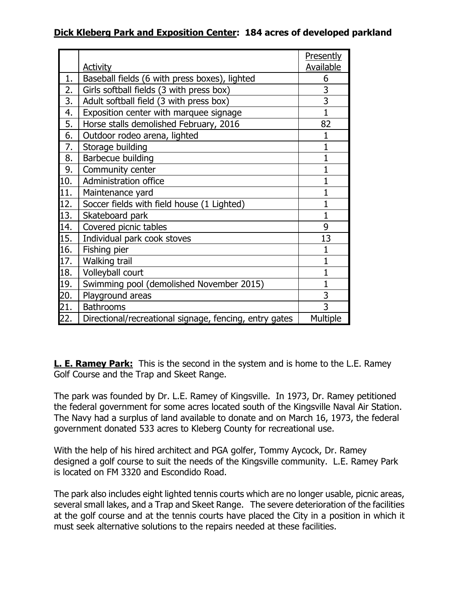## **Dick Kleberg Park and Exposition Center: 184 acres of developed parkland**

|     |                                                        | <b>Presently</b> |
|-----|--------------------------------------------------------|------------------|
|     | <u>Activity</u>                                        | <b>Available</b> |
| 1.  | Baseball fields (6 with press boxes), lighted          | 6                |
| 2.  | Girls softball fields (3 with press box)               | 3                |
| 3.  | Adult softball field (3 with press box)                | 3                |
| 4.  | Exposition center with marquee signage                 | $\overline{1}$   |
| 5.  | Horse stalls demolished February, 2016                 | 82               |
| 6.  | Outdoor rodeo arena, lighted                           | 1                |
| 7.  | Storage building                                       | $\mathbf{1}$     |
| 8.  | Barbecue building                                      | $\mathbf{1}$     |
| 9.  | Community center                                       | $\mathbf{1}$     |
| 10. | Administration office                                  | $\mathbf{1}$     |
| 11. | Maintenance yard                                       | $\mathbf{1}$     |
| 12. | Soccer fields with field house (1 Lighted)             | $\mathbf{1}$     |
| 13. | Skateboard park                                        | $\mathbf{1}$     |
| 14. | Covered picnic tables                                  | 9                |
| 15. | Individual park cook stoves                            | 13               |
| 16. | Fishing pier                                           | 1                |
| 17. | Walking trail                                          | $\mathbf{1}$     |
| 18. | Volleyball court                                       | $\mathbf{1}$     |
| 19. | Swimming pool (demolished November 2015)               | 1                |
| 20. | Playground areas                                       | 3                |
| 21. | <b>Bathrooms</b>                                       | 3                |
| 22. | Directional/recreational signage, fencing, entry gates | <b>Multiple</b>  |

**L. E. Ramey Park:** This is the second in the system and is home to the L.E. Ramey Golf Course and the Trap and Skeet Range.

The park was founded by Dr. L.E. Ramey of Kingsville. In 1973, Dr. Ramey petitioned the federal government for some acres located south of the Kingsville Naval Air Station. The Navy had a surplus of land available to donate and on March 16, 1973, the federal government donated 533 acres to Kleberg County for recreational use.

With the help of his hired architect and PGA golfer, Tommy Aycock, Dr. Ramey designed a golf course to suit the needs of the Kingsville community. L.E. Ramey Park is located on FM 3320 and Escondido Road.

The park also includes eight lighted tennis courts which are no longer usable, picnic areas, several small lakes, and a Trap and Skeet Range. The severe deterioration of the facilities at the golf course and at the tennis courts have placed the City in a position in which it must seek alternative solutions to the repairs needed at these facilities.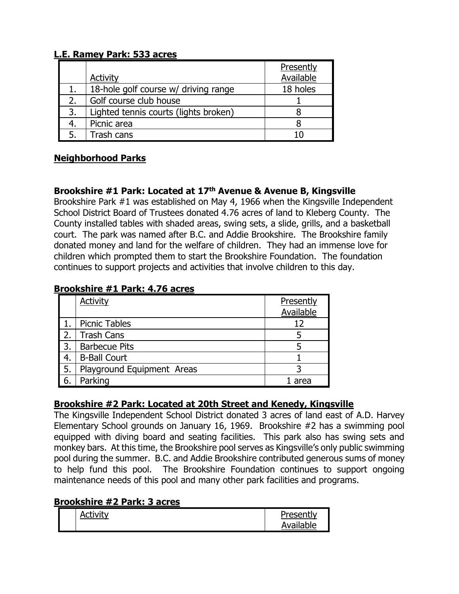### **L.E. Ramey Park: 533 acres**

|    |                                       | Presently |
|----|---------------------------------------|-----------|
|    | <b>Activity</b>                       | Available |
|    | 18-hole golf course w/ driving range  | 18 holes  |
|    | Golf course club house                |           |
| 3. | Lighted tennis courts (lights broken) |           |
|    | Picnic area                           |           |
|    | Trash cans                            |           |

# **Neighborhood Parks**

## **Brookshire #1 Park: Located at 17th Avenue & Avenue B, Kingsville**

Brookshire Park #1 was established on May 4, 1966 when the Kingsville Independent School District Board of Trustees donated 4.76 acres of land to Kleberg County. The County installed tables with shaded areas, swing sets, a slide, grills, and a basketball court. The park was named after B.C. and Addie Brookshire. The Brookshire family donated money and land for the welfare of children. They had an immense love for children which prompted them to start the Brookshire Foundation. The foundation continues to support projects and activities that involve children to this day.

#### **Brookshire #1 Park: 4.76 acres**

|                  | <b>Activity</b>            | Presently |
|------------------|----------------------------|-----------|
|                  |                            | Available |
|                  | <b>Picnic Tables</b>       | 12        |
| $\overline{2}$ . | <b>Trash Cans</b>          |           |
| $\overline{3}$ . | <b>Barbecue Pits</b>       |           |
| 4.               | <b>B-Ball Court</b>        |           |
| I 5.             | Playground Equipment Areas |           |
| 6                | Parking                    | area      |

### **Brookshire #2 Park: Located at 20th Street and Kenedy, Kingsville**

The Kingsville Independent School District donated 3 acres of land east of A.D. Harvey Elementary School grounds on January 16, 1969. Brookshire #2 has a swimming pool equipped with diving board and seating facilities. This park also has swing sets and monkey bars. At this time, the Brookshire pool serves as Kingsville's only public swimming pool during the summer. B.C. and Addie Brookshire contributed generous sums of money to help fund this pool. The Brookshire Foundation continues to support ongoing maintenance needs of this pool and many other park facilities and programs.

### **Brookshire #2 Park: 3 acres**

| ctivity | Dracantly |
|---------|-----------|
|         | Available |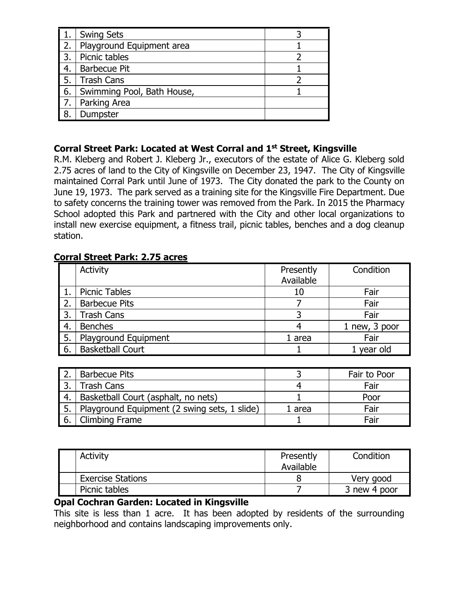|                  | <b>Swing Sets</b>          |  |
|------------------|----------------------------|--|
| $\overline{2}$ . | Playground Equipment area  |  |
| $\overline{3}$ . | Picnic tables              |  |
| $\overline{4}$ . | <b>Barbecue Pit</b>        |  |
| <b>5.</b>        | <b>Trash Cans</b>          |  |
| 6.               | Swimming Pool, Bath House, |  |
|                  | Parking Area               |  |
| <b>18.</b>       | Dumpster                   |  |

### **Corral Street Park: Located at West Corral and 1st Street, Kingsville**

R.M. Kleberg and Robert J. Kleberg Jr., executors of the estate of Alice G. Kleberg sold 2.75 acres of land to the City of Kingsville on December 23, 1947. The City of Kingsville maintained Corral Park until June of 1973. The City donated the park to the County on June 19, 1973. The park served as a training site for the Kingsville Fire Department. Due to safety concerns the training tower was removed from the Park. In 2015 the Pharmacy School adopted this Park and partnered with the City and other local organizations to install new exercise equipment, a fitness trail, picnic tables, benches and a dog cleanup station.

### **Corral Street Park: 2.75 acres**

|    | Activity                | Presently<br>Available | Condition     |
|----|-------------------------|------------------------|---------------|
|    | <b>Picnic Tables</b>    | 10                     | Fair          |
| 2. | <b>Barbecue Pits</b>    |                        | Fair          |
| 3. | <b>Trash Cans</b>       |                        | Fair          |
| 4. | <b>Benches</b>          |                        | 1 new, 3 poor |
| 5. | Playground Equipment    | 1 area                 | Fair          |
| 6. | <b>Basketball Court</b> |                        | 1 year old    |

|       | <b>Barbecue Pits</b>                         |        | Fair to Poor |
|-------|----------------------------------------------|--------|--------------|
|       | <b>Trash Cans</b>                            |        | Fair         |
|       | Basketball Court (asphalt, no nets)          |        | Poor         |
| .5. I | Playground Equipment (2 swing sets, 1 slide) | 1 area | Fair         |
|       | <b>Climbing Frame</b>                        |        | Fair         |

| <b>Activity</b>          | Presently<br>Available | Condition    |
|--------------------------|------------------------|--------------|
|                          |                        |              |
| <b>Exercise Stations</b> |                        | Very good    |
| Picnic tables            |                        | 3 new 4 poor |

#### **Opal Cochran Garden: Located in Kingsville**

This site is less than 1 acre. It has been adopted by residents of the surrounding neighborhood and contains landscaping improvements only.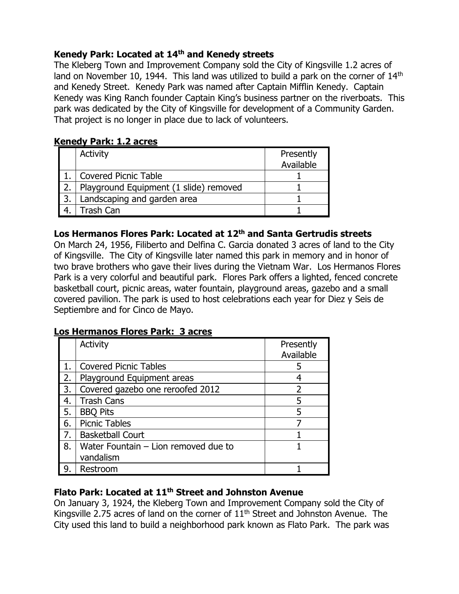## **Kenedy Park: Located at 14th and Kenedy streets**

The Kleberg Town and Improvement Company sold the City of Kingsville 1.2 acres of land on November 10, 1944. This land was utilized to build a park on the corner of 14<sup>th</sup> and Kenedy Street. Kenedy Park was named after Captain Mifflin Kenedy. Captain Kenedy was King Ranch founder Captain King's business partner on the riverboats. This park was dedicated by the City of Kingsville for development of a Community Garden. That project is no longer in place due to lack of volunteers.

### **Kenedy Park: 1.2 acres**

|      | Activity                               | Presently<br>Available |
|------|----------------------------------------|------------------------|
|      | <b>Covered Picnic Table</b>            |                        |
| l 2. | Playground Equipment (1 slide) removed |                        |
| l 3. | Landscaping and garden area            |                        |
|      | Trash Can                              |                        |

### **Los Hermanos Flores Park: Located at 12th and Santa Gertrudis streets**

On March 24, 1956, Filiberto and Delfina C. Garcia donated 3 acres of land to the City of Kingsville. The City of Kingsville later named this park in memory and in honor of two brave brothers who gave their lives during the Vietnam War. Los Hermanos Flores Park is a very colorful and beautiful park. Flores Park offers a lighted, fenced concrete basketball court, picnic areas, water fountain, playground areas, gazebo and a small covered pavilion. The park is used to host celebrations each year for Diez y Seis de Septiembre and for Cinco de Mayo.

### **Los Hermanos Flores Park: 3 acres**

|    | Activity                             | Presently |
|----|--------------------------------------|-----------|
|    |                                      | Available |
|    | <b>Covered Picnic Tables</b>         | 5         |
| 2. | Playground Equipment areas           |           |
| 3. | Covered gazebo one reroofed 2012     |           |
| 4. | <b>Trash Cans</b>                    | 5         |
| 5. | <b>BBQ Pits</b>                      | 5         |
| 6. | <b>Picnic Tables</b>                 |           |
| 7. | <b>Basketball Court</b>              |           |
| 8. | Water Fountain - Lion removed due to |           |
|    | vandalism                            |           |
| 9. | Restroom                             |           |

## **Flato Park: Located at 11th Street and Johnston Avenue**

On January 3, 1924, the Kleberg Town and Improvement Company sold the City of Kingsville 2.75 acres of land on the corner of  $11<sup>th</sup>$  Street and Johnston Avenue. The City used this land to build a neighborhood park known as Flato Park. The park was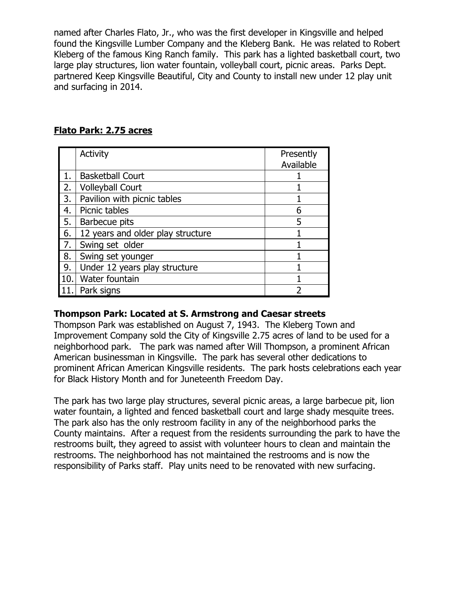named after Charles Flato, Jr., who was the first developer in Kingsville and helped found the Kingsville Lumber Company and the Kleberg Bank. He was related to Robert Kleberg of the famous King Ranch family. This park has a lighted basketball court, two large play structures, lion water fountain, volleyball court, picnic areas. Parks Dept. partnered Keep Kingsville Beautiful, City and County to install new under 12 play unit and surfacing in 2014.

|     | Activity                          | Presently |
|-----|-----------------------------------|-----------|
|     |                                   | Available |
| 1.  | <b>Basketball Court</b>           |           |
| 2.  | <b>Volleyball Court</b>           |           |
| 3.  | Pavilion with picnic tables       |           |
| 4.  | Picnic tables                     | 6         |
| 5.  | Barbecue pits                     | 5         |
| 6.  | 12 years and older play structure |           |
| 7.  | Swing set older                   |           |
| 8.  | Swing set younger                 |           |
| 9.  | Under 12 years play structure     |           |
| 10. | Water fountain                    |           |
| 11. | Park signs                        | っ         |

### **Flato Park: 2.75 acres**

#### **Thompson Park: Located at S. Armstrong and Caesar streets**

Thompson Park was established on August 7, 1943. The Kleberg Town and Improvement Company sold the City of Kingsville 2.75 acres of land to be used for a neighborhood park. The park was named after Will Thompson, a prominent African American businessman in Kingsville. The park has several other dedications to prominent African American Kingsville residents. The park hosts celebrations each year for Black History Month and for Juneteenth Freedom Day.

The park has two large play structures, several picnic areas, a large barbecue pit, lion water fountain, a lighted and fenced basketball court and large shady mesquite trees. The park also has the only restroom facility in any of the neighborhood parks the County maintains. After a request from the residents surrounding the park to have the restrooms built, they agreed to assist with volunteer hours to clean and maintain the restrooms. The neighborhood has not maintained the restrooms and is now the responsibility of Parks staff. Play units need to be renovated with new surfacing.